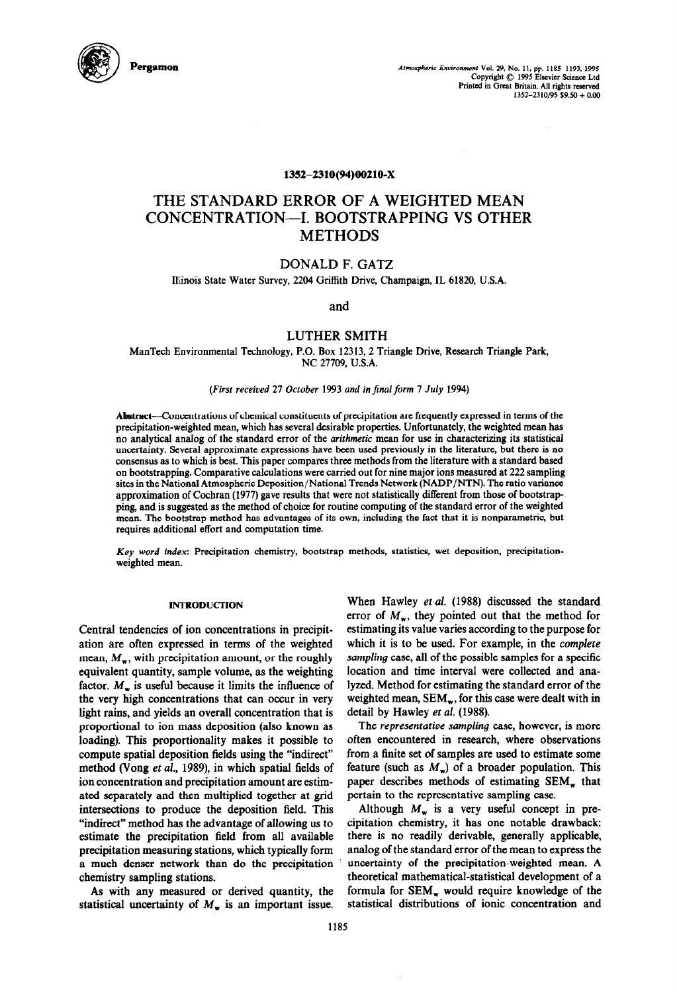

Pergamolv **Atmospheric Enuironmmf Vol. 29, No. 11, pp. 1185-1193, 1995 Copyright 0 1995 Elwicr Scicncc Ltd**  Printed in Great Britain. All rights reserved **1352-2310/95 \$9.50 + 0.00** 

## 1352-2310(94)00210-X

# **THE STANDARD ERROR OF A WEIGHTED MEAN CONCENTRATION-I. BOOTSTRAPPING VS OTHER METHODS**

## DONALD F. GATZ

Ihinois State Water Survey, 2204 Griffith Drive, Champaign, IL 61820, U.S.A.

and

## LUTHER SMITH

ManTech Environmental Technology, P.O. Box 12313,2 Triangle Drive, Research Triangle Park, NC 27709, U.S.A.

#### *(First received 27 October 1993 and in final form 7 July 1994)*

Abstract-Concentrations of chemical constituents of precipitation are frequently expressed in terms of the precipitation-weighted mean, which has several desirable properties. Unfortunately, the weighted mean has no analytical analog of the standard error of the *arithmetic* mean for use in characterizing its statistical uncertainty. Several approximate expressions have been used previously in the literature, but there is no consensus as to which is best. This paper compares three methods from the literature with a standard based on bootstrapping. Comparative calculations were carried out for nine major ions measured at 222 sampling sites in the National Atmospheric Deposition/National Trends Network (NADP/NTN). The ratio variance approximation of Cochran (1977) gave results that were not statistically different from those of bootstrap ping, and is suggested as the method of choice for routine computing of the standard error of the weighted mean. The bootstrap method has advantages of its own, including the fact that it is nonparametric, but requires additional effort and computation time.

Key *word index:* Precipitation chemistry, bootstrap methods, statistics, wet deposition, precipitationweighted mean.

## **INTRODUCTION**

Central tendencies of ion concentrations in precipitation are often expressed in terms of the weighted mean,  $M_{\rm w}$ , with precipitation amount, or the roughly equivalent quantity, sample volume, as the weighting factor.  $M_{\rm w}$  is useful because it limits the influence of the very high concentrations that can occur in very light rains, and yields an overall concentration that is proportional to ion mass deposition (also known as loading). This proportionality makes it possible to compute spatial deposition fields using the "indirect" method (Vong et al., 1989), in which spatial fields of ion concentration and precipitation amount are estimated separately and then multiplied together at grid intersections to produce the deposition field. This "indirect" method has the advantage of allowing us to estimate the precipitation field from all available precipitation measuring stations, which typically form a much denser network than do the precipitation chemistry sampling stations.

As with any measured or derived quantity, the statistical uncertainty of  $M_{\rm w}$  is an important issue. When Hawley et al. (1988) discussed the standard error of  $M_{\rm w}$ , they pointed out that the method for estimating its value varies according to the purpose for which it is to be used. For example, in the *complete sampling* case, all of the possible samples for a specific location and time interval were collected and analyzed. Method for estimating the standard error of the weighted mean,  $SEM_w$ , for this case were dealt with in detail by Hawley et *al.* (1988).

The *representative sampling* case, however, is more often encountered in research, where observations from a finite set of samples are used to estimate some feature (such as  $M_{\rm w}$ ) of a broader population. This paper describes methods of estimating SEM<sub>w</sub> that pertain to the representative sampling case.

Although  $M_w$  is a very useful concept in precipitation chemistry, it has one notable drawback: there is no readily derivable, generally applicable, analog of the standard error of the mean to express the uncertainty of the precipitation-weighted mean. A theoretical mathematical-statistical development of a formula for SEM, would require knowledge of the statistical distributions of ionic concentration and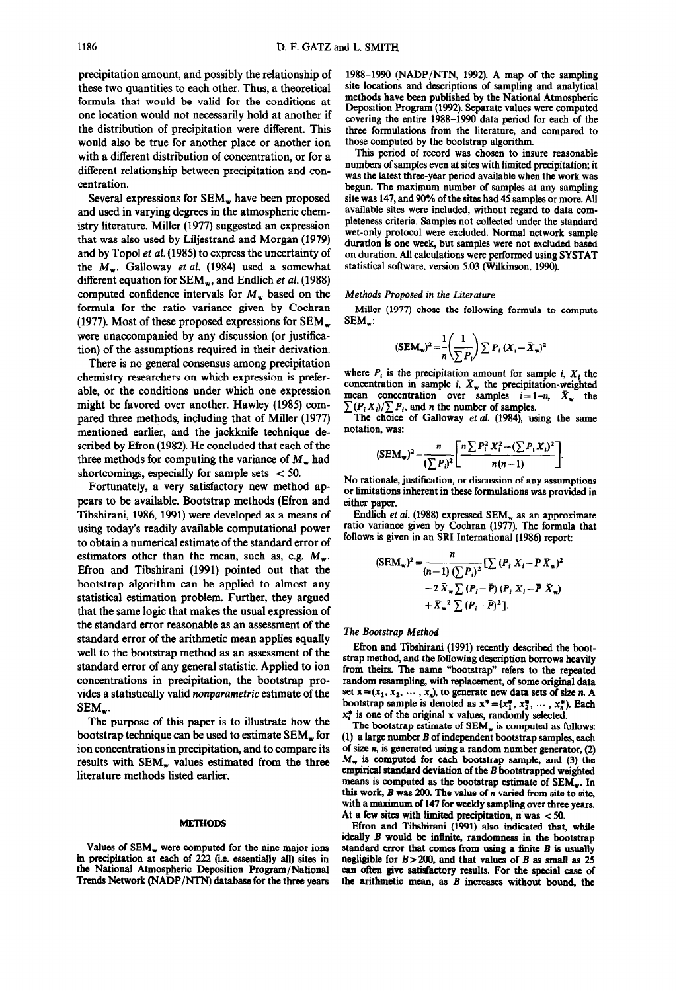precipitation amount, and possibly the relationship of these two quantities to each other. Thus, a theoretical formula that would be valid for the conditions at one location would not necessarily hold at another if the distribution of precipitation were different. This would also be true for another place or another ion with a different distribution of concentration, or for a different relationship between precipitation and concentration.

Several expressions for SEM, have been proposed and used in varying degrees in the atmospheric chemistry literature. Miller (1977) suggested an expression that was also used by Liljestrand and Morgan (1979) and by Topol et al. (1985) to express the uncertainty of the  $M_w$ . Galloway *et al.* (1984) used a somewhat different equation for SEM<sub>w</sub>, and Endlich et al. (1988) computed confidence intervals for  $M_{\rm w}$  based on the formula for the ratio variance given by Cochran (1977). Most of these proposed expressions for  $SEM_{w}$ were unaccompanied by any discussion (or justification) of the assumptions required in their derivation.

There is no general consensus among precipitation chemistry researchers on which expression is preferable, or the conditions under which one expression might be favored over another. Hawley (1985) compared three methods, including that of Miller (1977) mentioned earlier, and the jackknife technique described by Efron (1982). He concluded that each of the three methods for computing the variance of  $M_{\rm w}$  had shortcomings, especially for sample sets  $<$  50.

Fortunately, a very satisfactory new method appears to be available. Bootstrap methods (Efron and Tibshirani, 1986, 1991) were developed as a means of using today's readily available computational power to obtain a numerical estimate of the standard error of estimators other than the mean, such as, e.g.  $M_w$ . Efron and Tibshirani (1991) pointed out that the bootstrap algorithm can be applied to almost any statistical estimation problem. Further, they argued that the same logic that makes the usual expression of the standard error reasonable as an assessment of the standard error of the arithmetic mean applies equally well to the bootstrap method as an assessment of the standard error of any general statistic. Applied to ion concentrations in precipitation, the bootstrap provides a statistically valid *nonparametric* estimate of the SEM.

The purpose of this paper is to illustrate how the bootstrap technique can be used to estimate SEM, for ion concentrations in precipitation, and to compare its results with SEM, values estimated from the three literature methods listed earlier.

### METHODS

Values of SEM<sub>w</sub> were computed for the nine major ions in precipitation at each of 222 (i.e. essentially all) sites in the National Atmospheric Deposition Program/National Trends Network (NADP/NTN) database for the three years

1988-1990 (NADP/NTN, 1992). A map of the sampling site locations and descriptions of sampling and analytical methods have been published by the National Atmospheric Deposition Program (1992). Separate values were computed covering the entire 1988-1990 data period for each of the three formulations from the literature, and compared to those computed by the bootstrap algorithm.

This period of record was chosen to insure reasonable numbers of samples even at sites with limited precipitation; it was the latest three-year period available when the work was begun. The maximum number of samples at any sampling site was 147, and 90% of the sites had 45 samples or more. All available sites were included, without regard to data completeness criteria. Samples not collected under the standard wet-only protocol were excluded. Normal network sample duration is one week, but samples were not excluded based on duration. All calculations were performed using SYSTAT statistical software, version 5.03 (Wilkinson, 1990).

#### *Methods Proposed in the Literature*

Miller (1977) chose the following formula to compute SEM,:

$$
(\text{SEM}_{\mathbf{w}})^2 = \frac{1}{n} \left( \frac{1}{\sum P_i} \right) \sum P_i \left( X_i - \bar{X}_{\mathbf{w}} \right)^2
$$

where  $P_i$  is the precipitation amount for sample *i*,  $X_i$  the concentration in sample *i*,  $\bar{X}_{\text{w}}$  the precipitation-weighted mean concentration over samples  $i=1-n$ ,  $\bar{X}_w$  the  $\sum (P_i X_i) / \sum P_i$ , and *n* the number of samples.

The choice of Galloway et al. (1984), using the same notation, was:

$$
(\text{SEM}_{\mathbf{w}})^2 = \frac{n}{(\sum P_i)^2} \left[ \frac{n \sum P_i^2 X_i^2 - (\sum P_i X_i)^2}{n(n-1)} \right].
$$

No rationale, justification, or discussion of any assumptions or limitations inherent in these formulations was provided in either paper.

Endlich *et al.* (1988) expressed SEM, as an approximate ratio variance given by Cochran (1977). The formula that follows is given in an SRI International (1986) report:

$$
(\text{SEM}_{\mathbf{w}})^2 = \frac{n}{(n-1)\left(\sum P_i\right)^2} \left[\sum (P_i X_i - \bar{P} \bar{X}_{\mathbf{w}})^2 - 2 \bar{X}_{\mathbf{w}} \sum (P_i - \bar{P}) (P_i X_i - \bar{P} \bar{X}_{\mathbf{w}}) + \bar{X}_{\mathbf{w}}^2 \sum (P_i - \bar{P})^2\right].
$$

#### *The Bootstrap* Method

Efron and Tibshirani (1991) recently described the bootstrap method, and the following description borrows heavily from theirs. The name "bootstrap" refers to the repeated random resampling, with replacement, of some original data set  $\mathbf{x}=(x_1, x_2, \dots, x_n)$ , to generate new data sets of size n. A bootstrap sample is denoted as  $x^* = (x_1^*, x_2^*, \dots, x_n^*)$ . Each  $x_i^*$  is one of the original x values, randomly selected.

The bootstrap estimate of  $SEM$ <sub>w</sub> is computed as follows: (1) a large number B of independent bootstrap samples, each of size  $n$ , is generated using a random number generator,  $(2)$  $M_{\rm w}$  is computed for each bootstrap sample, and (3) the empirical standard deviation of the *B* bootstrapped weighted means is computed as the bootstrap estimate of  $SEM_{w}$ . In this work, *B was* 200. The value of n varied from site to site, with a maximum of 147 for weekly sampling over three years. At a few sites with limited precipitation,  $n$  was  $<$  50.

Efron and Tibshirani (1991) also indicated that, while ideally *B* would be infinite, randomness in the bootstrap standard error that comes from using a tinite *B* is usually negligible for *B>2OD,* and that values of *B* as small as 25 can often give satisfactory results. For the special case of the arithmetic mean, as *B increases* without bound, the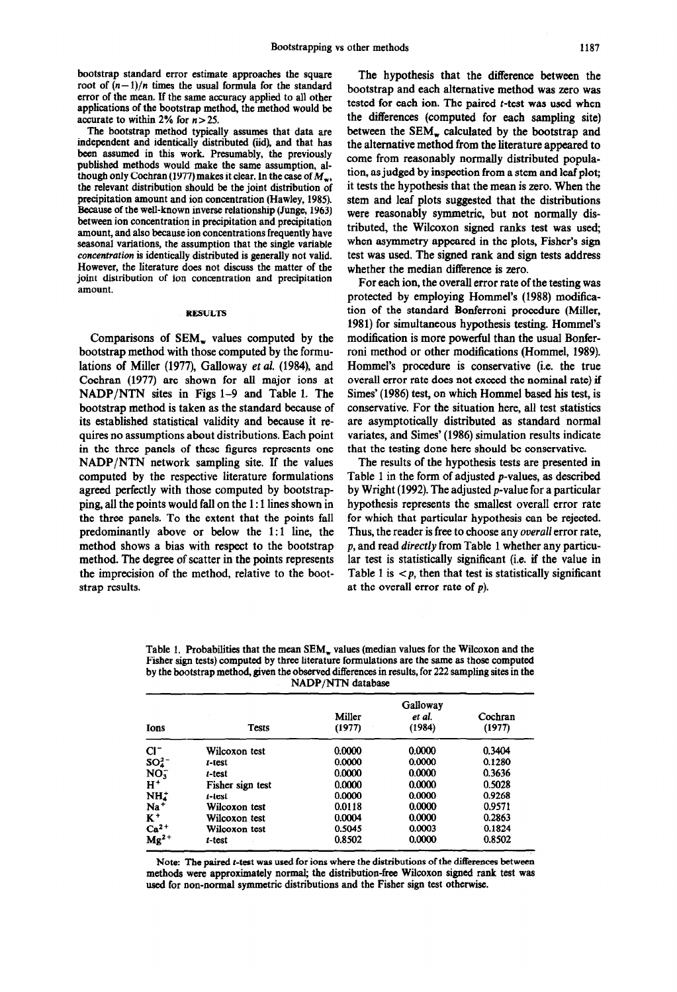bootstrap standard error estimate approaches the square root of  $(n-1)/n$  times the usual formula for the standard error of the mean. If the same accuracy applied to all other applications of the bootstrap method, the method would be accurate to within 2% for  $n > 25$ .

The bootstrap method typically assumes that data are independent and identically distributed (iid), and that has been assumed in this work. Presumably, the previously published methods would make the same assumption, although only Cochran (1977) makes it clear. In the case of  $M_{\infty}$ , the relevant distribution should be the joint distribution of precipitation amount and ion concentration (Hawley, 1985). Because of the well-known inverse relationship (Junge, 1963) between ion concentration in precipitation and precipitation amount, and also because ion concentrations frequently have seasonal variations, the assumption that the single variable concentration is identically distributed is generally not valid. However, the literature does not discuss the matter of the joint distribution of ion concentration and precipitation amount.

#### RESULTS

Comparisons of  $SEM_w$  values computed by the bootstrap method with those computed by the formulations of Miller (1977), Galloway *et al.* (1984), and Cochran (1977) are shown for all major ions at NADP/NTN sites in Figs l-9 and Table 1. The bootstrap method is taken as the standard because of its established statistical validity and because it requires no assumptions about distributions. Each point in the three panels of these figures represents one NADP/NTN network sampling site. If the values computed by the respective literature formulations agreed perfectly with those computed by bootstrapping, all the points would fall on the 1: 1 lines shown in the three panels. To the extent that the points fall predominantly above or below the 1:1 line, the method shows a bias with respect to the bootstrap method. The degree of scatter in the points represents the imprecision of the method, relative to the bootstrap results.

The hypothesis that the difference between the bootstrap and each alternative method was zero was tested for each ion. The paired  $t$ -test was used when the differences (computed for each sampling site) between the  $SEM_{w}$  calculated by the bootstrap and the alternative method from the literature appeared to come from reasonably normally distributed population, as judged by inspection from a stem and **leaf** plot; it tests the hypothesis that the mean is zero. When the stem and leaf plots suggested that the distributions were reasonably symmetric, but not normally distributed, the Wilcoxon signed ranks test was used; when asymmetry appeared in the plots, Fisher's sign test was used. The signed rank and sign tests address whether the median difference is zero.

For each ion, the overall error rate of the testing was protected by employing Hommel's (1988) modification of the standard Bonferroni procedure (Miller, 1981) for simultaneous hypothesis testing. Hommel's modification is more powerful than the usual Bonferroni method or other modifications (Hommel, 1989). Hommel's procedure is conservative (i.e. the true overall error rate does not exceed the nominal rate) if Simes' (1986) test, on which Hommel based his test, is conservative. For the situation here, all test statistics are asymptotically distributed as standard normal variates, and Simes' (1986) simulation results indicate that the testing done here should be conservative.

The results of the hypothesis tests are presented in Table 1 in the form of adjusted p-values, as described by Wright (1992). The adjusted p-value for a particular hypothesis represents the smallest overall error rate for which that particular hypothesis can be rejected. Thus, the reader is free to choose any *overall* error rate, *p,* and read *directly* from Table 1 whether any particular test is statistically significant (i.e. if the value in Table 1 is  $\langle p \rangle$ , then that test is statistically significant at the overall error rate of *p).* 

Table 1. Probabilities that the mean  $SEM_w$  values (median values for the Wilcoxon and the Fisher sign tests) computed by three literature formulations are the same as those computed by the bootstrap method, given the observed differences in results, for 222 sampling sites in the NADP/NTN database

| Ions                       | <b>Tests</b>     | Miller<br>(1977) | Galloway<br>et al.<br>(1984) | Cochran<br>(1977) |
|----------------------------|------------------|------------------|------------------------------|-------------------|
| CI-                        | Wilcoxon test    | 0.0000           | 0.0000                       | 0.3404            |
| $SO_{4}^{2-}$              | t-test           | 0.0000           | 0.0000                       | 0.1280            |
| NO.                        | t-test           | 0.0000           | 0.0000                       | 0.3636            |
| $H^+$                      | Fisher sign test | 0.0000           | 0.0000                       | 0.5028            |
| NH.                        | $t$ -test        | 0.0000           | 0.0000                       | 0.9268            |
| Na <sup>+</sup>            | Wilcoxon test    | 0.0118           | 0.0000                       | 0.9571            |
| $K^+$                      | Wilcoxon test    | 0.0004           | 0.0000                       | 0.2863            |
|                            | Wilcoxon test    | 0.5045           | 0.0003                       | 0.1824            |
| $Ca2+$<br>Mg <sup>2+</sup> | t-test           | 0.8502           | 0.0000                       | 0.8502            |

Note: The paired t-teat was used for ions where the distributions of the differences between methods were approximately normal; the distribution-free Wilcoxon signed rank test was used for non-normal symmetric distributions and the Fisher sign test otherwise.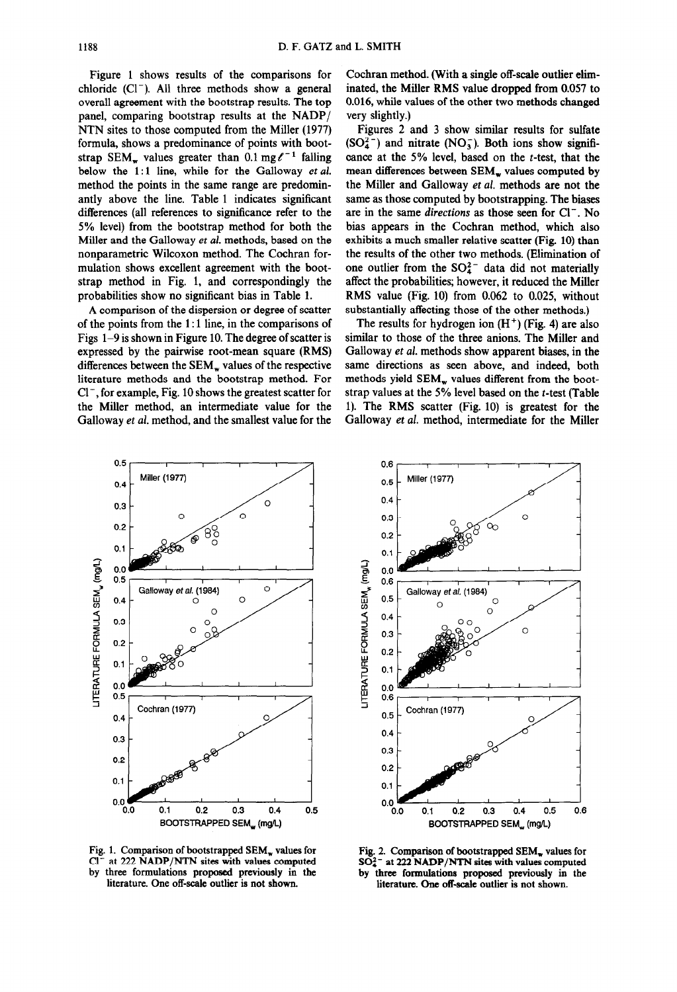Figure 1 shows results of the comparisons for chloride  $(Cl^-)$ . All three methods show a general overall agreement with the bootstrap results. The top panel, comparing bootstrap results at the NADP/ NTN sites to those computed from the Miller (1977) formula, shows a predominance of points with bootstrap SEM<sub>w</sub> values greater than 0.1 mg $\ell^{-1}$  falling below the  $1:1$  line, while for the Galloway et al. method the points in the same range are predominantly above the line. Table 1 indicates significant differences (all references to significance refer to the 5% level) from the bootstrap method for both the Miller and the Galloway et al. methods, based on the nonparametric Wilcoxon method. The Cochran formulation shows excellent agreement with the bootstrap method in Fig. 1, and correspondingly the probabilities show no significant bias in Table 1.

A comparison of the dispersion or degree of scatter of the points from the 1: 1 line, in the comparisons of Figs 1-9 is shown in Figure 10. The degree of scatter is expressed by the pairwise root-mean square (RMS) differences between the SEM, values of the respective literature methods and the bootstrap method. For  $Cl^-$ , for example, Fig. 10 shows the greatest scatter for the Miller method, an intermediate value for the Galloway *et al.* method, and the smallest value for the

Cochran method. (With a single off-scale outlier eliminated, the Miller RMS value dropped from 0.057 to 0.016, while values of the other two methods changed very slightly.)

Figures 2 and 3 show similar results for sulfate  $(SO_4^{2-})$  and nitrate  $(NO_3^-)$ . Both ions show significance at the 5% level, based on the t-test, that the mean differences between SEM, values computed by the Miller and Galloway *et al.* methods are not the same as those computed by bootstrapping. The biases are in the same *directions* as those seen for Cl<sup>-</sup>. No bias appears in the Cochran method, which also exhibits a much smaller relative scatter (Fig. 10) than the results of the other two methods. (Elimination of one outlier from the  $SO_4^2$  data did not materially affect the probabilities; however, it reduced the Miller RMS value (Fig. 10) from 0.062 to 0.025, without substantially affecting those of the other methods.)

The results for hydrogen ion  $(H<sup>+</sup>)$  (Fig. 4) are also similar to those of the three anions. The Miller and Galloway et al. methods show apparent biases, in the same directions as seen above, and indeed, both methods yield SEM<sub>w</sub> values different from the bootstrap values at the 5% level based on the t-test (Table 1). The RMS scatter (Fig. 10) is greatest for the Galloway *et al.* method, intermediate for the Miller



Fig. 1. Comparison of bootstrapped SEM, values for Fig. 2. Comparison of bootstrapped SEM, values for Cl<sup>-</sup> at 222 NADP/NTN sites with values computed SO<sub>4</sub><sup>-</sup> at 222 NADP/NTN sites with values computed at 222 NADP/NTN sites with values computed **by** three formulations proposed previously in the literature. One off-scale outlier is not shown.



by three formulations proposed previously in the literature. One off-scale outlier is not shown.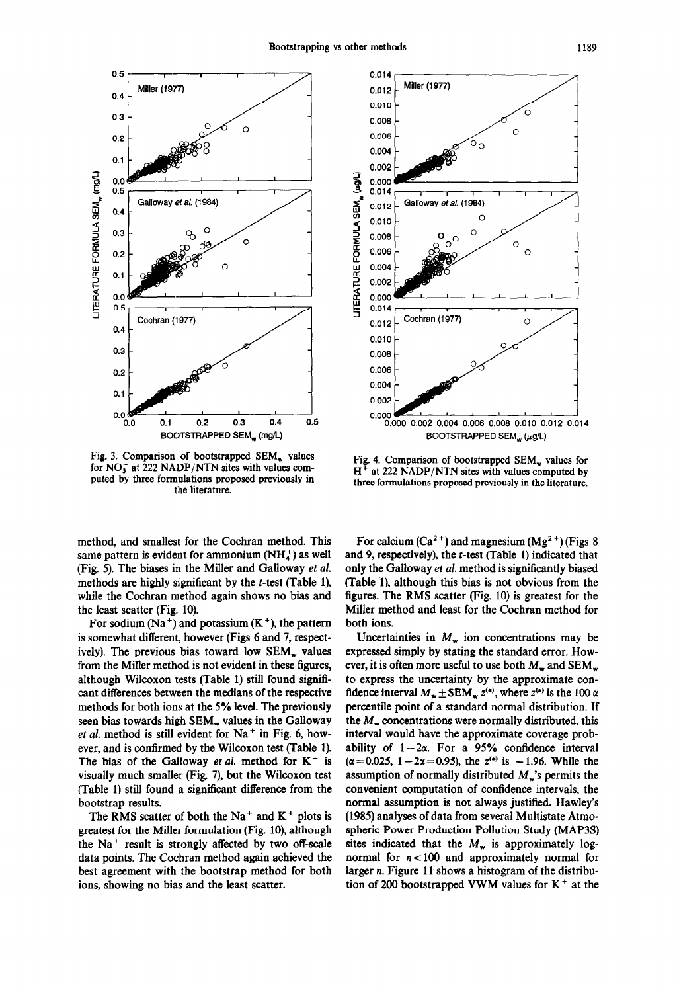

Fig. 3. Comparison of bootstrapped SEM, values for  $NO_3^-$  at 222 NADP/NTN sites with values computed by three formulations proposed previously in the literature.

method, and smallest for the Cochran method. This same pattern is evident for ammonium  $(NH_4^+)$  as well (Fig. 5). The biases in the Miller and Galloway et *al.*  methods are highly significant by the  $t$ -test (Table 1), while the Cochran method again shows no bias and the least scatter (Fig. 10).

For sodium  $(Na^+)$  and potassium  $(K^+)$ , the pattern is somewhat different, however (Figs 6 and 7, respectively). The previous bias toward low SEM<sub>y</sub> values from the Miller method is not evident in these figures, although Wilcoxon tests (Table 1) still found significant differences between the medians of the respective methods for both ions at the 5% level. The previously seen bias towards high  $SEM<sub>w</sub>$  values in the Galloway *et al.* method is still evident for  $Na<sup>+</sup>$  in Fig. 6, however, and is confirmed by the Wilcoxon test (Table 1). The bias of the Galloway et al. method for  $K^+$  is visually much smaller (Fig. 7), but the Wilcoxon test (Table 1) still found a significant difference from the bootstrap results.

The RMS scatter of both the Na<sup>+</sup> and  $K^+$  plots is greatest for the Miller formulation (Fig. 10), although the  $Na<sup>+</sup>$  result is strongly affected by two off-scale data points. The Cochran method again achieved the best agreement with the bootstrap method for both ions, showing no bias and the least scatter.



Fig. 4. Comparison of bootstrapped SEM, values for  $H<sup>+</sup>$  at 222 NADP/NTN sites with values computed by three formulations proposed previously in the literature.

For calcium  $(Ca^{2+})$  and magnesium  $(Mg^{2+})$  (Figs 8) and 9, respectively), the r-test (Table 1) indicated that only the Galloway *et al.* method is significantly biased (Table l), although this bias is not obvious from the figures. The RMS scatter (Fig. 10) is greatest for the Miller method and least for the Cochran method for both ions.

Uncertainties in  $M_w$  ion concentrations may be expressed simply by stating the standard error. However, it is often more useful to use both  $M_w$  and SEM<sub>w</sub> to express the uncertainty by the approximate confidence interval  $M_w \pm SEM_w z^{(\alpha)}$ , where  $z^{(\alpha)}$  is the 100  $\alpha$ percentile point of a standard normal distribution. If the  $M<sub>z</sub>$  concentrations were normally distributed, this interval would have the approximate coverage probability of  $1-2\alpha$ . For a 95% confidence interval  $(\alpha = 0.025, 1 - 2\alpha = 0.95)$ , the  $z^{(\alpha)}$  is -1.96. While the assumption of normally distributed  $M_{\rm w}$ 's permits the convenient computation of confidence intervals, the normal assumption is not always justified. Hawley's (1985) analyses of data from several Multistate Atmospheric Power Production Pollution Study (MAP3S) sites indicated that the  $M_w$  is approximately lognormal for  $n < 100$  and approximately normal for larger n. Figure 11 shows a histogram of the distribution of 200 bootstrapped VWM values for  $K^+$  at the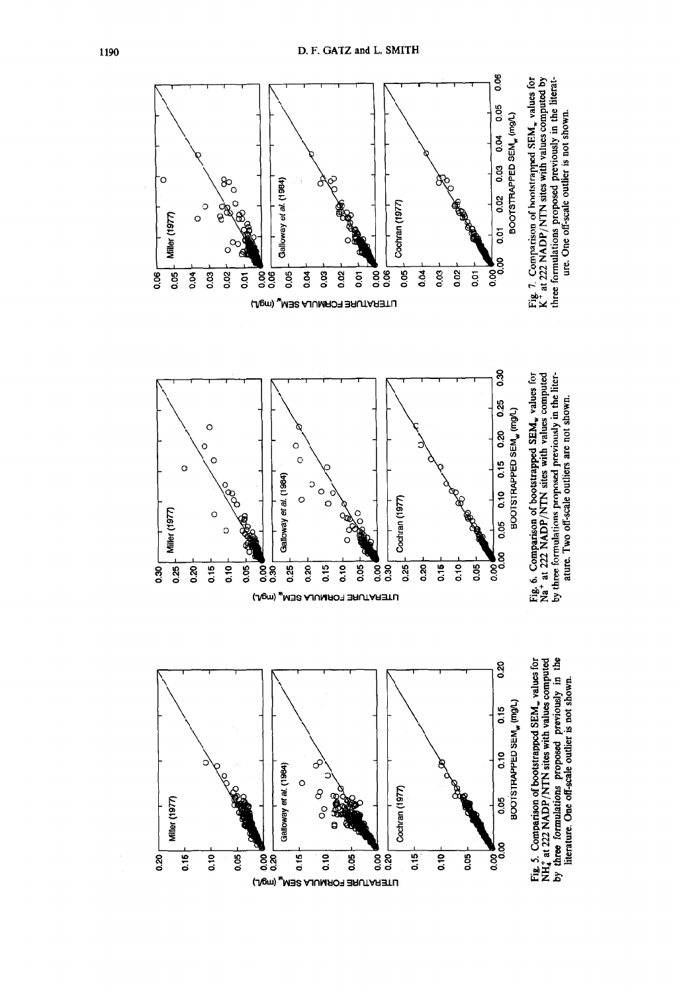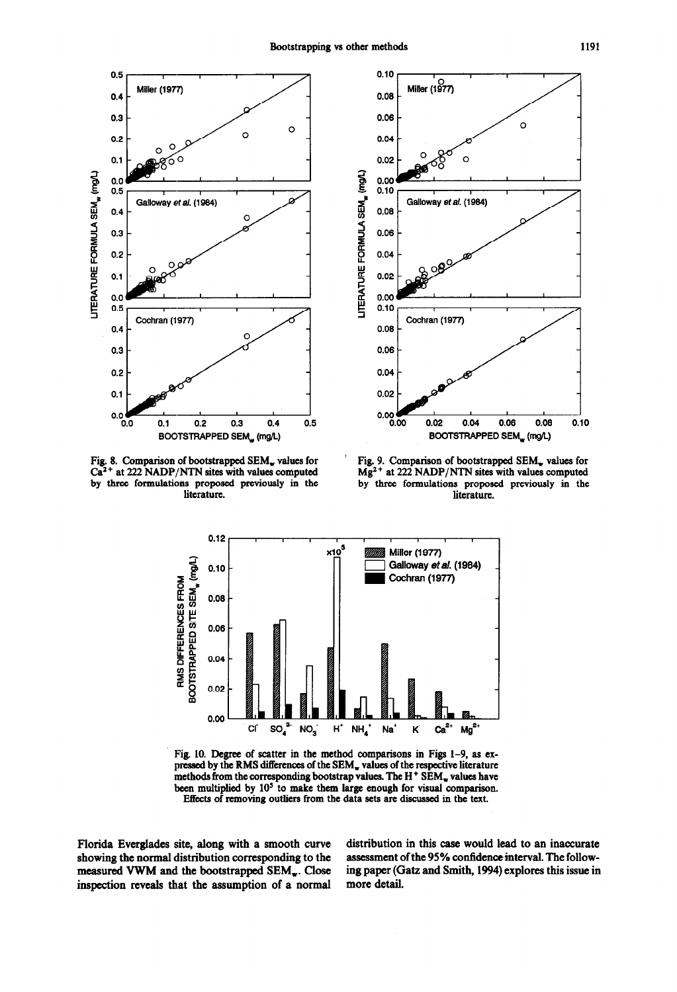

Fig. 8. Comparison of bootstrapped SEM<sub>w</sub> values for  $Ca<sup>2+</sup>$  at 222 NADP/NTN sites with values computed by three formulations proposed previously in the literature.



Fig. 9. Comparison of bootstrapped SEM<sub>w</sub> values for  $Mg<sup>2+</sup>$  at 222 NADP/NTN sites with values computed by three formulations proposed previously in the literature.



Fig. 10. Degree of scatter in the method comparisons in Figs  $1-9$ , as expressed by the RMS differences of the SEM<sub>w</sub> values of the respective literature methods from the corresponding bootstrap values. The  $H^+$  SEM<sub>w</sub> values have been multiplied by 10<sup>5</sup> to make them large enough for visual comparison. Effects of removing outliers from the data sets are discussed in the text.

Florida Everglades site, along with a smooth curve showing the normal distribution corresponding to the measured VWM and the bootstrapped SEM<sub>w</sub>. Close inspection reveals that the assumption of a normal

distribution in this case would lead to an inaccurate assessment of the 95% confidence interval. The following paper (Gatz and Smith, 1994) explores this issue in more detail.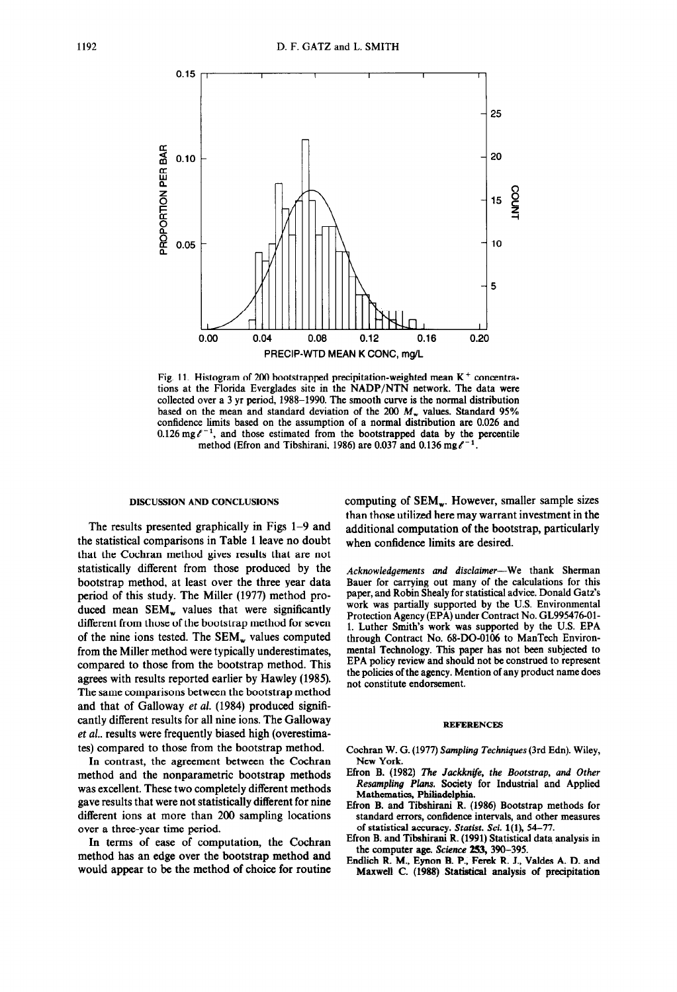

Fig. 11. Histogram of 200 bootstrapped precipitation-weighted mean  $K^+$  concentrations at the Florida Everglades site in the NADP/NTN network. The data were collected over a 3 yr period, 1988-1990. The smooth curve is the normal distribution based on the mean and standard deviation of the 200  $M<sub>w</sub>$  values. Standard 95% confidence limits based on the assumption of a normal distribution are 0.026 and  $0.126$  mg $\ell^{-1}$ , and those estimated from the bootstrapped data by the percentile method (Efron and Tibshirani, 1986) are 0.037 and 0.136 mg $\ell^{-1}$ .

### **DISCUSSION AND CONCLUSIONS**

The results presented graphically in Figs l-9 and the statistical comparisons in Table 1 leave no doubt that the Cochran method gives results that are not statistically different from those produced by the bootstrap method, at least over the three year data period of this study. The Miller (1977) method produced mean  $SEM_w$  values that were significantly different from those of the bootstrap method for seven of the nine ions tested. The  $SEM_w$  values computed from the Miller method were typically underestimates, compared to those from the bootstrap method. This agrees with results reported earlier by Hawley (1985). The same comparisons between the bootstrap method and that of Galloway et al. (1984) produced significantly different results for all nine ions. The Galloway et al.. results were frequently biased high (overestimates) compared to those from the bootstrap method.

In contrast, the agreement between the Cochran method and the nonparametric bootstrap methods was excellent. These two completely different methods gave results that were not statistically different for nine different ions at more than 200 sampling locations over a three-year time period.

In terms of ease of computation, the Cochran method has an edge over the bootstrap method and would appear to be the method of choice for routine computing of  $SEM_w$ . However, smaller sample sizes than those utilized here may warrant investment in the additional computation of the bootstrap, particularly when confidence limits are desired.

*Acknowledgements and disclaimer-We* thank Sherman Bauer for carrying out many of the calculations for this paper, and Robin Shealy for statistical advice. Donald Gatx's work was partially supported by the U.S. Environmental Protection Agency (EPA) under Contract No. GL995476-Ol-1. Luther Smith's work was supported by the U.S. EPA through Contract No. 68-DO-0106 to ManTech Environmental Technology. This paper has not been subjected to EPA policy review and should not be construed to represent the policies of the agency. Mention of any product name does not constitute endorsement.

#### **REFERENCES**

- Cochran W. G. (1977) *Sampling Techniques* (3rd Edn). Wiley, New York.
- Efron B. (1982) The *Jackknife, the Bootstrap, and Other Resampling Plans. Society* for Industrial and Applied Mathematics, Philiadelphia.
- Efron B. and Tibshirani R. (1986) Bootstrap methods for standard errors, confidence intervals, and other measures of statistical accuracy. *Statist. Sci.* l(l), 54-77.
- Efron B. and Tibshirani R. (1991) Statistical data analysis in the computer age. Science 253, 390-395.
- Endlich R. M., Eynon B. P., Ferek R. J., Valdes A. D. and Maxwell C. (1988) Statistical analysis of precipitation